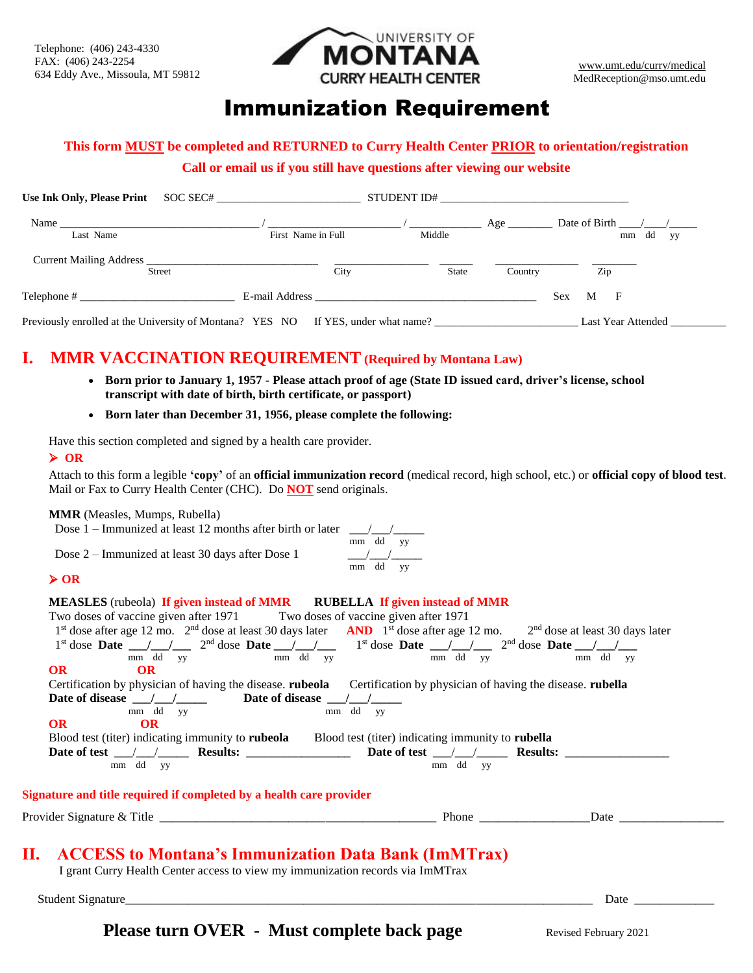

# Immunization Requirement

# **This form MUST be completed and RETURNED to Curry Health Center PRIOR to orientation/registration** Form

**Call or email us if you still have questions after viewing our website**

| Use Ink Only, Please Print | SOC SEC#                                                                          | STUDENT ID#                                                                                                                                                                                                                    |              |                        |           |                             |    |
|----------------------------|-----------------------------------------------------------------------------------|--------------------------------------------------------------------------------------------------------------------------------------------------------------------------------------------------------------------------------|--------------|------------------------|-----------|-----------------------------|----|
| Name                       |                                                                                   |                                                                                                                                                                                                                                |              | $Age$ <sub>_____</sub> |           | Date of Birth $\frac{1}{2}$ |    |
| Last Name                  | First Name in Full                                                                | Middle                                                                                                                                                                                                                         |              |                        |           | mm dd                       | yу |
| <b>Street</b>              | <b>Current Mailing Address</b>                                                    | City                                                                                                                                                                                                                           | <b>State</b> | Country                |           | Zip                         |    |
| $\text{Telephone}$ #       |                                                                                   | E-mail Address and the contract of the contract of the contract of the contract of the contract of the contract of the contract of the contract of the contract of the contract of the contract of the contract of the contrac |              |                        | M<br>Sex. | $\mathbf{F}$                |    |
|                            | Previously enrolled at the University of Montana? YES NO If YES, under what name? |                                                                                                                                                                                                                                |              |                        |           | Last Year Attended          |    |

**I. MMR VACCINATION REQUIREMENT (Required by Montana Law)**

- **Born prior to January 1, 1957 - Please attach proof of age (State ID issued card, driver's license, school transcript with date of birth, birth certificate, or passport)**
- **Born later than December 31, 1956, please complete the following:**

Have this section completed and signed by a health care provider.

#### ➢ **OR**

Attach to this form a legible **'copy'** of an **official immunization record** (medical record, high school, etc.) or **official copy of blood test**. Mail or Fax to Curry Health Center (CHC). Do **NOT** send originals.

#### **MMR** (Measles, Mumps, Rubella)

Dose  $1$  – Immunized at least 12 months after birth or later

Dose 2 – Immunized at least 30 days after Dose 1

$$
\begin{array}{c|c}\n\text{later} & \underline{\hspace{1cm}} / \underline{\hspace{1cm}} / \underline{\hspace{1cm}} \\
\hline\n\text{mm} & \text{dd} & \text{yy} \\
\hline\n\text{mm} & \text{dd} & \text{yy}\n\end{array}
$$

#### ➢ **OR**

### **MEASLES** (rubeola) **If given instead of MMR RUBELLA If given instead of MMR** Two doses of vaccine given after 1971 Two doses of vaccine given after 1971 1<sup>st</sup> dose after age 12 mo. 2<sup>nd</sup> dose at least 30 days later **AND** 1<sup>st</sup> dose after age 12 mo. 2<sup>nd</sup> dose at least 30 days later 1<sup>st</sup> dose **Date** \_\_\_/\_\_\_/\_\_\_ 2<sup>nd</sup> dose **Date** \_\_/\_\_\_/\_\_\_\_ 1<sup>st</sup> dose **Date** \_\_/\_\_/\_\_\_ 2<sup>nd</sup> dose **Date** \_\_/\_\_/\_\_\_ mm dd yy mm dd yy mm dd yy mm dd yy **OR OR** Certification by physician of having the disease. **rubeola** Certification by physician of having the disease. **rubella** Date of disease  $\frac{1}{\text{mm}}$   $\frac{1}{\text{dd}}$   $\frac{1}{\text{yy}}$  Date of disease  $\frac{1}{\text{mm}}$   $\frac{1}{\text{dd}}$   $\frac{1}{\text{yy}}$  $\frac{1}{\text{mm}}$  dd  $\frac{1}{\text{yy}}$ **OR OR** Blood test (titer) indicating immunity to **rubeola** Blood test (titer) indicating immunity to **rubella Date of test** \_\_\_/\_\_\_/\_\_\_\_\_ **Results:** \_\_\_\_\_\_\_\_\_\_\_\_\_\_\_\_\_ **Date of test** \_\_\_/\_\_\_/\_\_\_\_\_ **Results:** \_\_\_\_\_\_\_\_\_\_\_\_\_\_\_\_\_ mm dd yy mm dd yy **Signature and title required if completed by a health care provider** Provider Signature & Title \_\_\_\_\_\_\_\_\_\_\_\_\_\_\_\_\_\_\_\_\_\_\_\_\_\_\_\_\_\_\_\_\_\_\_\_\_\_\_\_\_\_\_\_\_ Phone \_\_\_\_\_\_\_\_\_\_\_\_\_\_\_\_\_\_Date \_\_\_\_\_\_\_\_\_\_\_\_\_\_\_\_\_

# **II. ACCESS to Montana's Immunization Data Bank (ImMTrax)**

I grant Curry Health Center access to view my immunization records via ImMTrax

Student Signature\_\_\_\_\_\_\_\_\_\_\_\_\_\_\_\_\_\_\_\_\_\_\_\_\_\_\_\_\_\_\_\_\_\_\_\_\_\_\_\_\_\_\_\_\_\_\_\_\_\_\_\_\_\_\_\_\_\_\_\_\_\_\_\_\_\_\_\_\_\_\_\_\_\_\_\_ Date \_\_\_\_\_\_\_\_\_\_\_\_\_

**Please turn OVER** - Must complete back page Revised February 2021